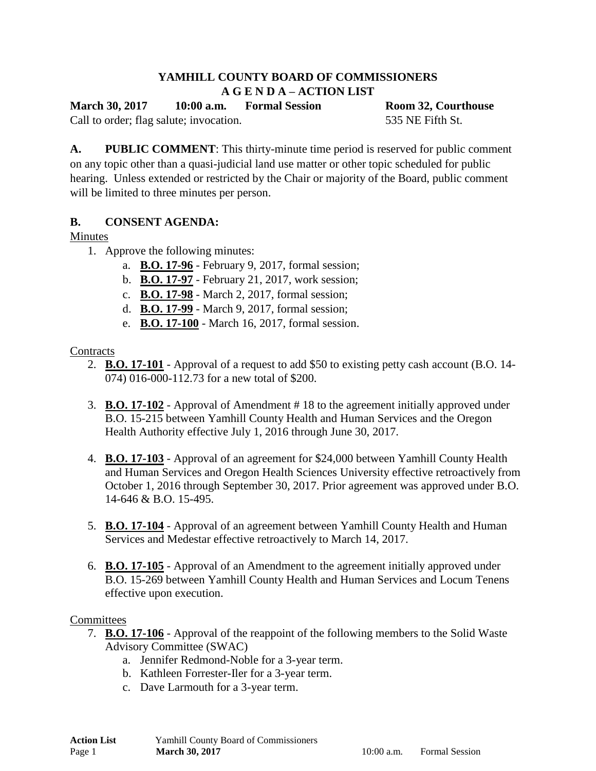## **YAMHILL COUNTY BOARD OF COMMISSIONERS A G E N D A – ACTION LIST**

**March 30, 2017 10:00 a.m. Formal Session Room 32, Courthouse**

Call to order; flag salute; invocation. 535 NE Fifth St.

**A. PUBLIC COMMENT**: This thirty-minute time period is reserved for public comment on any topic other than a quasi-judicial land use matter or other topic scheduled for public hearing. Unless extended or restricted by the Chair or majority of the Board, public comment will be limited to three minutes per person.

# **B. CONSENT AGENDA:**

# Minutes

- 1. Approve the following minutes:
	- a. **B.O. 17-96** February 9, 2017, formal session;
	- b. **B.O. 17-97** February 21, 2017, work session;
	- c. **B.O. 17-98** March 2, 2017, formal session;
	- d. **B.O. 17-99** March 9, 2017, formal session;
	- e. **B.O. 17-100** March 16, 2017, formal session.

# **Contracts**

- 2. **B.O. 17-101** Approval of a request to add \$50 to existing petty cash account (B.O. 14- 074) 016-000-112.73 for a new total of \$200.
- 3. **B.O. 17-102** Approval of Amendment # 18 to the agreement initially approved under B.O. 15-215 between Yamhill County Health and Human Services and the Oregon Health Authority effective July 1, 2016 through June 30, 2017.
- 4. **B.O. 17-103** Approval of an agreement for \$24,000 between Yamhill County Health and Human Services and Oregon Health Sciences University effective retroactively from October 1, 2016 through September 30, 2017. Prior agreement was approved under B.O. 14-646 & B.O. 15-495.
- 5. **B.O. 17-104** Approval of an agreement between Yamhill County Health and Human Services and Medestar effective retroactively to March 14, 2017.
- 6. **B.O. 17-105** Approval of an Amendment to the agreement initially approved under B.O. 15-269 between Yamhill County Health and Human Services and Locum Tenens effective upon execution.

## **Committees**

- 7. **B.O. 17-106** Approval of the reappoint of the following members to the Solid Waste Advisory Committee (SWAC)
	- a. Jennifer Redmond-Noble for a 3-year term.
	- b. Kathleen Forrester-Iler for a 3-year term.
	- c. Dave Larmouth for a 3-year term.